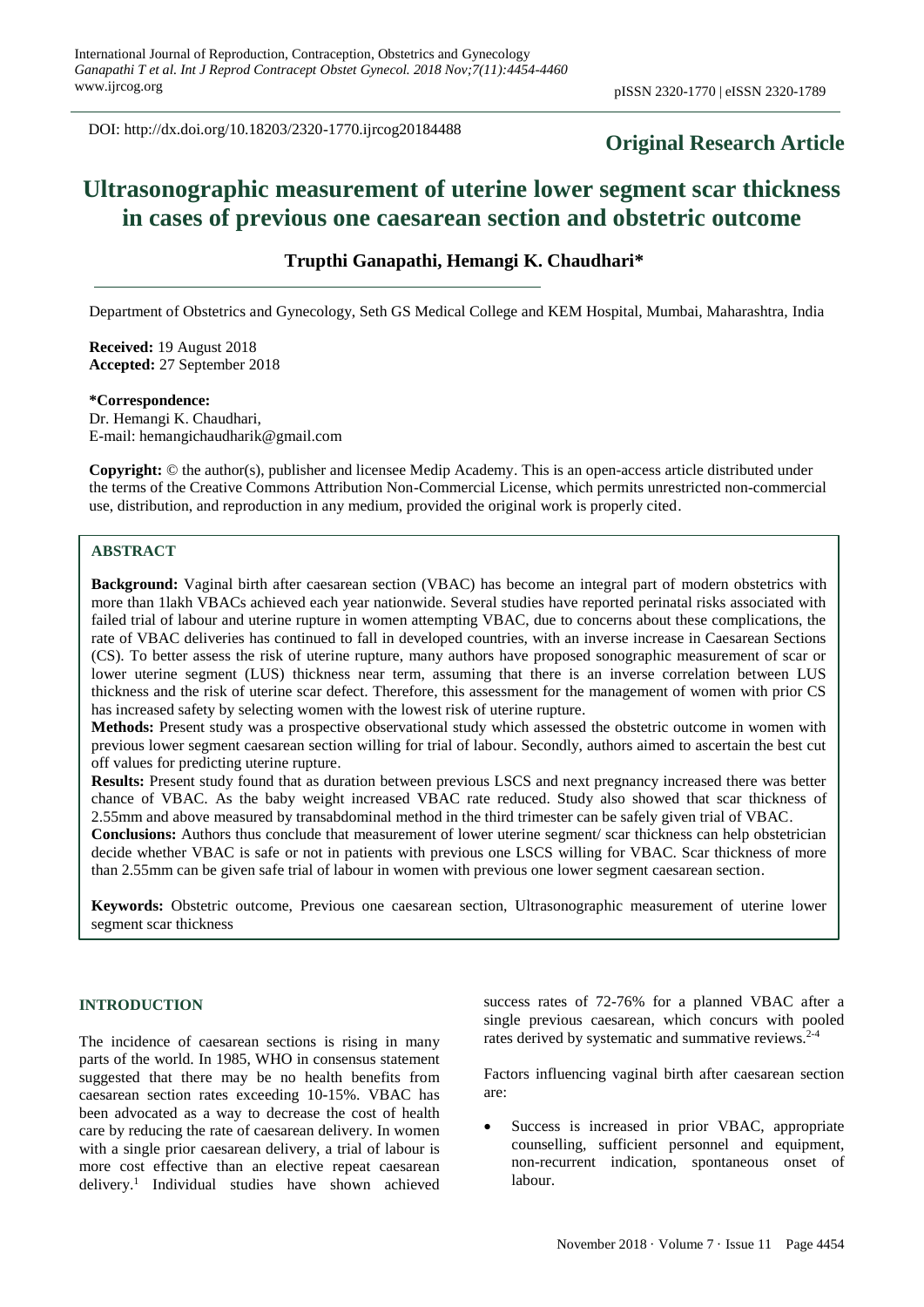DOI: http://dx.doi.org/10.18203/2320-1770.ijrcog20184488

# **Original Research Article**

# **Ultrasonographic measurement of uterine lower segment scar thickness in cases of previous one caesarean section and obstetric outcome**

# **Trupthi Ganapathi, Hemangi K. Chaudhari\***

Department of Obstetrics and Gynecology, Seth GS Medical College and KEM Hospital, Mumbai, Maharashtra, India

**Received:** 19 August 2018 **Accepted:** 27 September 2018

# **\*Correspondence:**

Dr. Hemangi K. Chaudhari, E-mail: hemangichaudharik@gmail.com

**Copyright:** © the author(s), publisher and licensee Medip Academy. This is an open-access article distributed under the terms of the Creative Commons Attribution Non-Commercial License, which permits unrestricted non-commercial use, distribution, and reproduction in any medium, provided the original work is properly cited.

# **ABSTRACT**

**Background:** Vaginal birth after caesarean section (VBAC) has become an integral part of modern obstetrics with more than 1lakh VBACs achieved each year nationwide. Several studies have reported perinatal risks associated with failed trial of labour and uterine rupture in women attempting VBAC, due to concerns about these complications, the rate of VBAC deliveries has continued to fall in developed countries, with an inverse increase in Caesarean Sections (CS). To better assess the risk of uterine rupture, many authors have proposed sonographic measurement of scar or lower uterine segment (LUS) thickness near term, assuming that there is an inverse correlation between LUS thickness and the risk of uterine scar defect. Therefore, this assessment for the management of women with prior CS has increased safety by selecting women with the lowest risk of uterine rupture.

**Methods:** Present study was a prospective observational study which assessed the obstetric outcome in women with previous lower segment caesarean section willing for trial of labour. Secondly, authors aimed to ascertain the best cut off values for predicting uterine rupture.

**Results:** Present study found that as duration between previous LSCS and next pregnancy increased there was better chance of VBAC. As the baby weight increased VBAC rate reduced. Study also showed that scar thickness of 2.55mm and above measured by transabdominal method in the third trimester can be safely given trial of VBAC.

**Conclusions:** Authors thus conclude that measurement of lower uterine segment/ scar thickness can help obstetrician decide whether VBAC is safe or not in patients with previous one LSCS willing for VBAC. Scar thickness of more than 2.55mm can be given safe trial of labour in women with previous one lower segment caesarean section.

**Keywords:** Obstetric outcome, Previous one caesarean section, Ultrasonographic measurement of uterine lower segment scar thickness

#### **INTRODUCTION**

The incidence of caesarean sections is rising in many parts of the world. In 1985, WHO in consensus statement suggested that there may be no health benefits from caesarean section rates exceeding 10-15%. VBAC has been advocated as a way to decrease the cost of health care by reducing the rate of caesarean delivery. In women with a single prior caesarean delivery, a trial of labour is more cost effective than an elective repeat caesarean delivery. 1 Individual studies have shown achieved

success rates of 72-76% for a planned VBAC after a single previous caesarean, which concurs with pooled rates derived by systematic and summative reviews. 2-4

Factors influencing vaginal birth after caesarean section are:

• Success is increased in prior VBAC, appropriate counselling, sufficient personnel and equipment, non-recurrent indication, spontaneous onset of labour.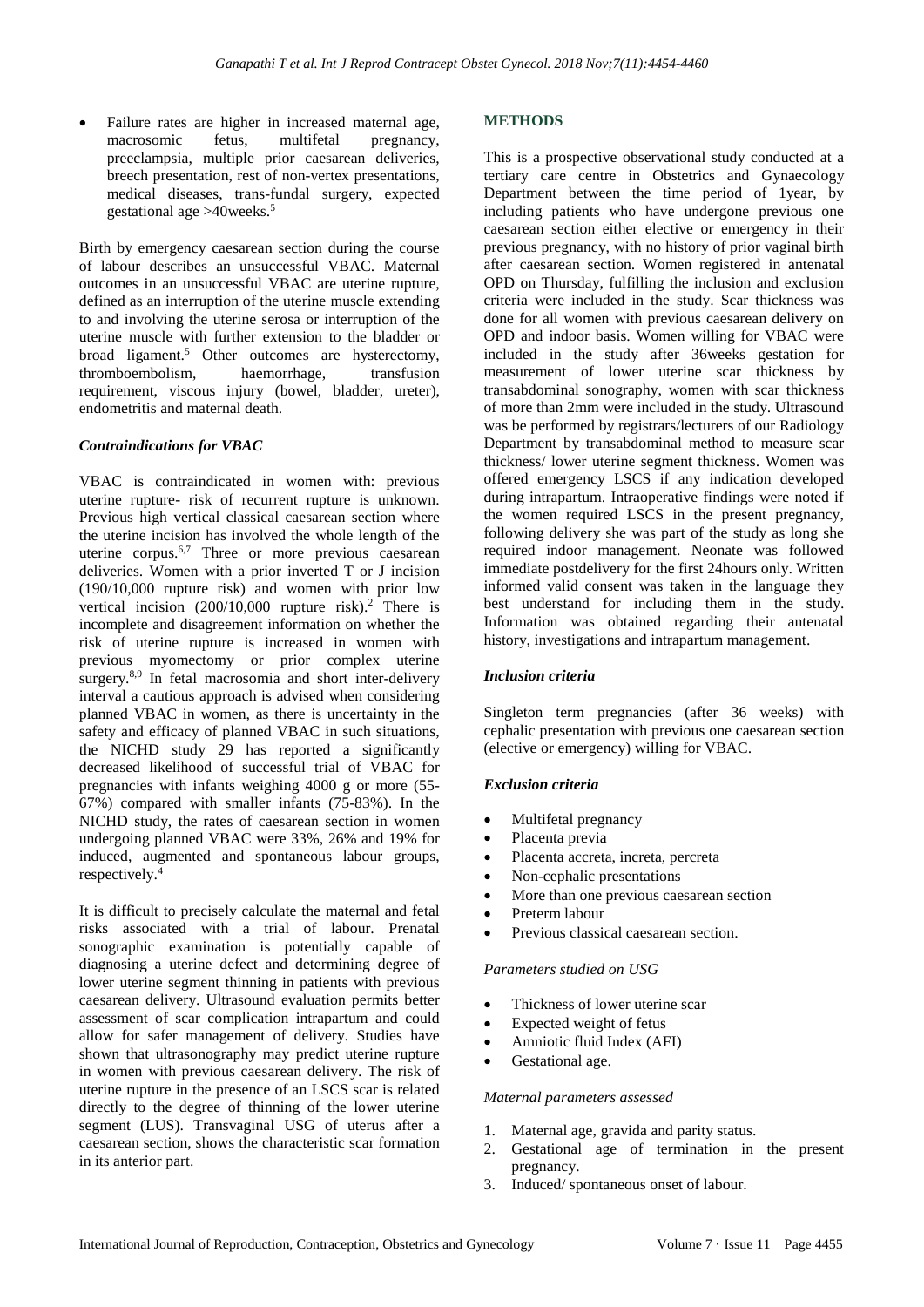Failure rates are higher in increased maternal age, macrosomic fetus, multifetal pregnancy, preeclampsia, multiple prior caesarean deliveries, breech presentation, rest of non-vertex presentations, medical diseases, trans-fundal surgery, expected gestational age >40weeks. 5

Birth by emergency caesarean section during the course of labour describes an unsuccessful VBAC. Maternal outcomes in an unsuccessful VBAC are uterine rupture, defined as an interruption of the uterine muscle extending to and involving the uterine serosa or interruption of the uterine muscle with further extension to the bladder or broad ligament. <sup>5</sup> Other outcomes are hysterectomy, thromboembolism, haemorrhage, transfusion requirement, viscous injury (bowel, bladder, ureter), endometritis and maternal death.

### *Contraindications for VBAC*

VBAC is contraindicated in women with: previous uterine rupture- risk of recurrent rupture is unknown. Previous high vertical classical caesarean section where the uterine incision has involved the whole length of the uterine corpus. 6,7 Three or more previous caesarean deliveries. Women with a prior inverted T or J incision (190/10,000 rupture risk) and women with prior low vertical incision  $(200/10,000$  rupture risk).<sup>2</sup> There is incomplete and disagreement information on whether the risk of uterine rupture is increased in women with previous myomectomy or prior complex uterine surgery.<sup>8,9</sup> In fetal macrosomia and short inter-delivery interval a cautious approach is advised when considering planned VBAC in women, as there is uncertainty in the safety and efficacy of planned VBAC in such situations, the NICHD study 29 has reported a significantly decreased likelihood of successful trial of VBAC for pregnancies with infants weighing 4000 g or more (55- 67%) compared with smaller infants (75-83%). In the NICHD study, the rates of caesarean section in women undergoing planned VBAC were 33%, 26% and 19% for induced, augmented and spontaneous labour groups, respectively.<sup>4</sup>

It is difficult to precisely calculate the maternal and fetal risks associated with a trial of labour. Prenatal sonographic examination is potentially capable of diagnosing a uterine defect and determining degree of lower uterine segment thinning in patients with previous caesarean delivery. Ultrasound evaluation permits better assessment of scar complication intrapartum and could allow for safer management of delivery. Studies have shown that ultrasonography may predict uterine rupture in women with previous caesarean delivery. The risk of uterine rupture in the presence of an LSCS scar is related directly to the degree of thinning of the lower uterine segment (LUS). Transvaginal USG of uterus after a caesarean section, shows the characteristic scar formation in its anterior part.

# **METHODS**

This is a prospective observational study conducted at a tertiary care centre in Obstetrics and Gynaecology Department between the time period of 1year, by including patients who have undergone previous one caesarean section either elective or emergency in their previous pregnancy, with no history of prior vaginal birth after caesarean section. Women registered in antenatal OPD on Thursday, fulfilling the inclusion and exclusion criteria were included in the study. Scar thickness was done for all women with previous caesarean delivery on OPD and indoor basis. Women willing for VBAC were included in the study after 36weeks gestation for measurement of lower uterine scar thickness by transabdominal sonography, women with scar thickness of more than 2mm were included in the study. Ultrasound was be performed by registrars/lecturers of our Radiology Department by transabdominal method to measure scar thickness/ lower uterine segment thickness. Women was offered emergency LSCS if any indication developed during intrapartum. Intraoperative findings were noted if the women required LSCS in the present pregnancy, following delivery she was part of the study as long she required indoor management. Neonate was followed immediate postdelivery for the first 24hours only. Written informed valid consent was taken in the language they best understand for including them in the study. Information was obtained regarding their antenatal history, investigations and intrapartum management.

#### *Inclusion criteria*

Singleton term pregnancies (after 36 weeks) with cephalic presentation with previous one caesarean section (elective or emergency) willing for VBAC.

# *Exclusion criteria*

- Multifetal pregnancy
- Placenta previa
- Placenta accreta, increta, percreta
- Non-cephalic presentations
- More than one previous caesarean section
- Preterm labour
- Previous classical caesarean section.

#### *Parameters studied on USG*

- Thickness of lower uterine scar
- Expected weight of fetus
- Amniotic fluid Index (AFI)
- Gestational age.

#### *Maternal parameters assessed*

- 1. Maternal age, gravida and parity status.
- 2. Gestational age of termination in the present pregnancy.
- 3. Induced/ spontaneous onset of labour.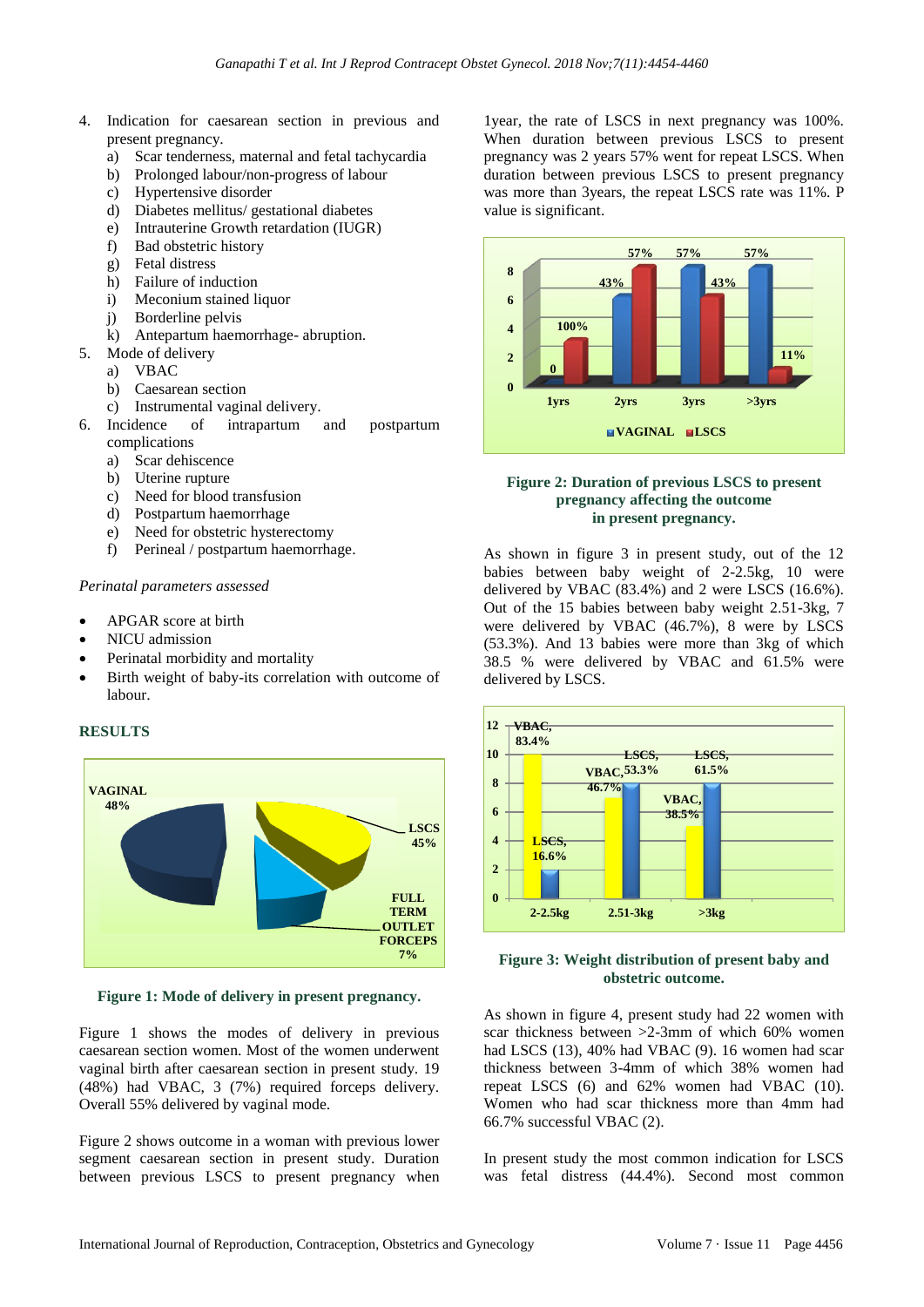- 4. Indication for caesarean section in previous and present pregnancy.
	- a) Scar tenderness, maternal and fetal tachycardia
	- b) Prolonged labour/non-progress of labour
	- c) Hypertensive disorder
	- d) Diabetes mellitus/ gestational diabetes
	- e) Intrauterine Growth retardation (IUGR)
	- f) Bad obstetric history
	- g) Fetal distress
	- h) Failure of induction
	- i) Meconium stained liquor
	- j) Borderline pelvis
	- k) Antepartum haemorrhage- abruption.
- 5. Mode of delivery
	- a) VBAC
		- b) Caesarean section
	- c) Instrumental vaginal delivery.
- 6. Incidence of intrapartum and postpartum complications
	- a) Scar dehiscence
	- b) Uterine rupture
	- c) Need for blood transfusion
	- d) Postpartum haemorrhage
	- e) Need for obstetric hysterectomy
	- f) Perineal / postpartum haemorrhage.

### *Perinatal parameters assessed*

- APGAR score at birth
- NICU admission
- Perinatal morbidity and mortality
- Birth weight of baby-its correlation with outcome of labour.

# **RESULTS**



#### **Figure 1: Mode of delivery in present pregnancy.**

Figure 1 shows the modes of delivery in previous caesarean section women. Most of the women underwent vaginal birth after caesarean section in present study. 19 (48%) had VBAC, 3 (7%) required forceps delivery. Overall 55% delivered by vaginal mode.

Figure 2 shows outcome in a woman with previous lower segment caesarean section in present study. Duration between previous LSCS to present pregnancy when

1year, the rate of LSCS in next pregnancy was 100%. When duration between previous LSCS to present pregnancy was 2 years 57% went for repeat LSCS. When duration between previous LSCS to present pregnancy was more than 3years, the repeat LSCS rate was 11%. P value is significant.



#### **Figure 2: Duration of previous LSCS to present pregnancy affecting the outcome in present pregnancy.**

As shown in figure 3 in present study, out of the 12 babies between baby weight of 2-2.5kg, 10 were delivered by VBAC (83.4%) and 2 were LSCS (16.6%). Out of the 15 babies between baby weight 2.51-3kg, 7 were delivered by VBAC (46.7%), 8 were by LSCS (53.3%). And 13 babies were more than 3kg of which 38.5 % were delivered by VBAC and 61.5% were delivered by LSCS.



# **Figure 3: Weight distribution of present baby and obstetric outcome.**

As shown in figure 4, present study had 22 women with scar thickness between >2-3mm of which 60% women had LSCS (13), 40% had VBAC (9). 16 women had scar thickness between 3-4mm of which 38% women had repeat LSCS (6) and 62% women had VBAC (10). Women who had scar thickness more than 4mm had 66.7% successful VBAC (2).

In present study the most common indication for LSCS was fetal distress (44.4%). Second most common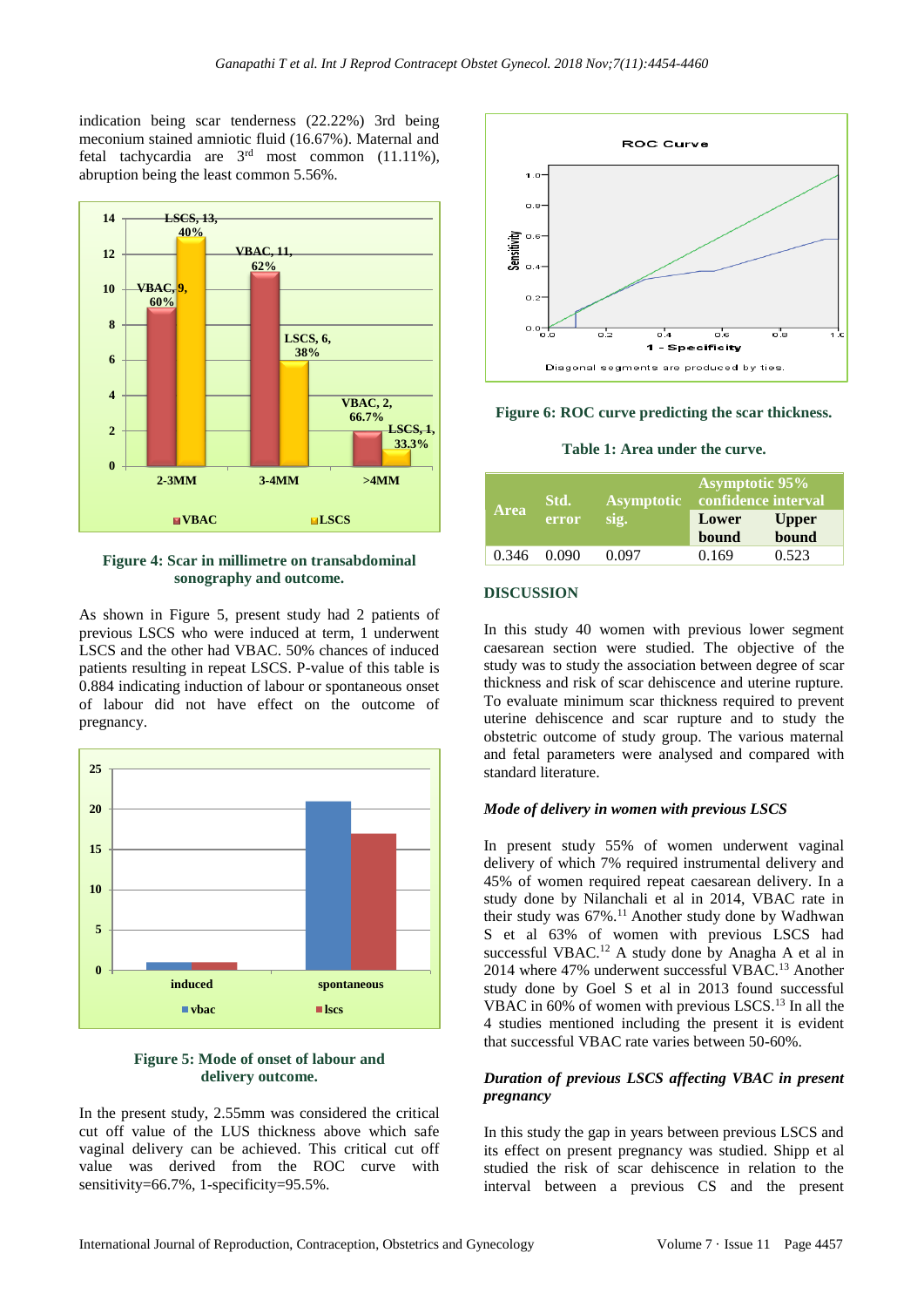indication being scar tenderness (22.22%) 3rd being meconium stained amniotic fluid (16.67%). Maternal and fetal tachycardia are 3rd most common (11.11%), abruption being the least common 5.56%.



**Figure 4: Scar in millimetre on transabdominal sonography and outcome.**

As shown in Figure 5, present study had 2 patients of previous LSCS who were induced at term, 1 underwent LSCS and the other had VBAC. 50% chances of induced patients resulting in repeat LSCS. P-value of this table is 0.884 indicating induction of labour or spontaneous onset of labour did not have effect on the outcome of pregnancy.





In the present study, 2.55mm was considered the critical cut off value of the LUS thickness above which safe vaginal delivery can be achieved. This critical cut off value was derived from the ROC curve with sensitivity=66.7%, 1-specificity=95.5%.



**Figure 6: ROC curve predicting the scar thickness.**

#### **Table 1: Area under the curve.**

| <b>Area</b> | Std.<br>error | <b>Asymptotic</b><br>sig. | Asymptotic 95%<br>confidence interval<br>Lower<br>bound | <b>Upper</b><br>bound |
|-------------|---------------|---------------------------|---------------------------------------------------------|-----------------------|
| 0.346       | 0.090         | 0.097                     | 0.169                                                   | 0.523                 |

# **DISCUSSION**

In this study 40 women with previous lower segment caesarean section were studied. The objective of the study was to study the association between degree of scar thickness and risk of scar dehiscence and uterine rupture. To evaluate minimum scar thickness required to prevent uterine dehiscence and scar rupture and to study the obstetric outcome of study group. The various maternal and fetal parameters were analysed and compared with standard literature.

#### *Mode of delivery in women with previous LSCS*

In present study 55% of women underwent vaginal delivery of which 7% required instrumental delivery and 45% of women required repeat caesarean delivery. In a study done by Nilanchali et al in 2014, VBAC rate in their study was 67%.<sup>11</sup> Another study done by Wadhwan S et al 63% of women with previous LSCS had successful VBAC.<sup>12</sup> A study done by Anagha A et al in 2014 where 47% underwent successful VBAC.<sup>13</sup> Another study done by Goel S et al in 2013 found successful VBAC in 60% of women with previous LSCS.<sup>13</sup> In all the 4 studies mentioned including the present it is evident that successful VBAC rate varies between 50-60%.

# *Duration of previous LSCS affecting VBAC in present pregnancy*

In this study the gap in years between previous LSCS and its effect on present pregnancy was studied. Shipp et al studied the risk of scar dehiscence in relation to the interval between a previous CS and the present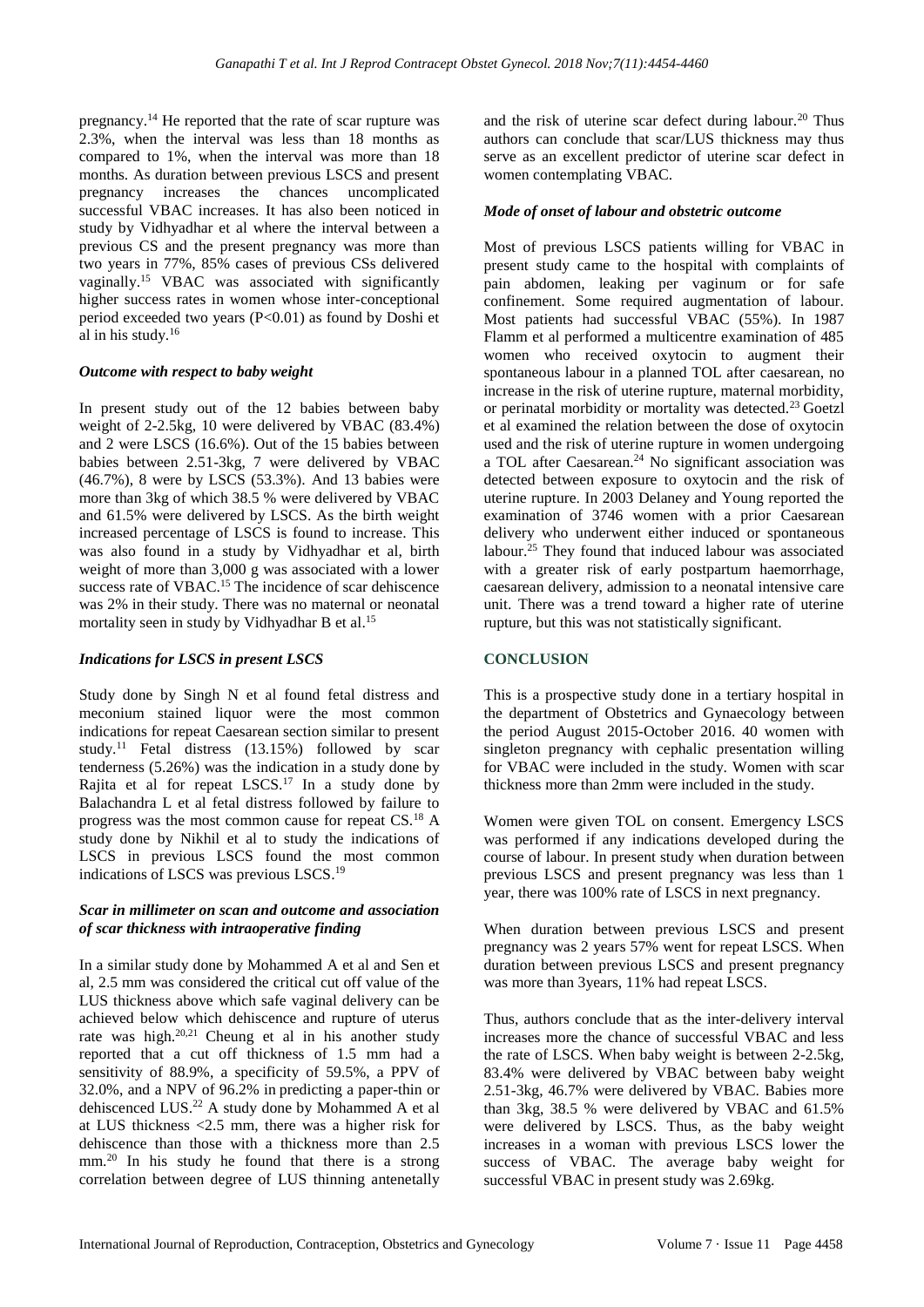pregnancy.<sup>14</sup> He reported that the rate of scar rupture was 2.3%, when the interval was less than 18 months as compared to 1%, when the interval was more than 18 months. As duration between previous LSCS and present pregnancy increases the chances uncomplicated successful VBAC increases. It has also been noticed in study by Vidhyadhar et al where the interval between a previous CS and the present pregnancy was more than two years in 77%, 85% cases of previous CSs delivered vaginally.<sup>15</sup> VBAC was associated with significantly higher success rates in women whose inter-conceptional period exceeded two years  $(P<0.01)$  as found by Doshi et al in his study.<sup>16</sup>

# *Outcome with respect to baby weight*

In present study out of the 12 babies between baby weight of 2-2.5kg, 10 were delivered by VBAC (83.4%) and 2 were LSCS (16.6%). Out of the 15 babies between babies between 2.51-3kg, 7 were delivered by VBAC (46.7%), 8 were by LSCS (53.3%). And 13 babies were more than 3kg of which 38.5 % were delivered by VBAC and 61.5% were delivered by LSCS. As the birth weight increased percentage of LSCS is found to increase. This was also found in a study by Vidhyadhar et al, birth weight of more than 3,000 g was associated with a lower success rate of VBAC.<sup>15</sup> The incidence of scar dehiscence was 2% in their study. There was no maternal or neonatal mortality seen in study by Vidhyadhar B et al.<sup>15</sup>

# *Indications for LSCS in present LSCS*

Study done by Singh N et al found fetal distress and meconium stained liquor were the most common indications for repeat Caesarean section similar to present study.<sup>11</sup> Fetal distress (13.15%) followed by scar tenderness (5.26%) was the indication in a study done by Rajita et al for repeat LSCS.<sup>17</sup> In a study done by Balachandra L et al fetal distress followed by failure to progress was the most common cause for repeat CS.<sup>18</sup> A study done by Nikhil et al to study the indications of LSCS in previous LSCS found the most common indications of LSCS was previous LSCS. 19

# *Scar in millimeter on scan and outcome and association of scar thickness with intraoperative finding*

In a similar study done by Mohammed A et al and Sen et al, 2.5 mm was considered the critical cut off value of the LUS thickness above which safe vaginal delivery can be achieved below which dehiscence and rupture of uterus rate was high.<sup>20,21</sup> Cheung et al in his another study reported that a cut off thickness of 1.5 mm had a sensitivity of 88.9%, a specificity of 59.5%, a PPV of 32.0%, and a NPV of 96.2% in predicting a paper-thin or dehiscenced LUS.<sup>22</sup> A study done by Mohammed A et al at LUS thickness <2.5 mm, there was a higher risk for dehiscence than those with a thickness more than 2.5 mm.<sup>20</sup> In his study he found that there is a strong correlation between degree of LUS thinning antenetally and the risk of uterine scar defect during labour.<sup>20</sup> Thus authors can conclude that scar/LUS thickness may thus serve as an excellent predictor of uterine scar defect in women contemplating VBAC.

# *Mode of onset of labour and obstetric outcome*

Most of previous LSCS patients willing for VBAC in present study came to the hospital with complaints of pain abdomen, leaking per vaginum or for safe confinement. Some required augmentation of labour. Most patients had successful VBAC (55%). In 1987 Flamm et al performed a multicentre examination of 485 women who received oxytocin to augment their spontaneous labour in a planned TOL after caesarean, no increase in the risk of uterine rupture, maternal morbidity, or perinatal morbidity or mortality was detected.<sup>23</sup> Goetzl et al examined the relation between the dose of oxytocin used and the risk of uterine rupture in women undergoing a TOL after Caesarean.<sup>24</sup> No significant association was detected between exposure to oxytocin and the risk of uterine rupture. In 2003 Delaney and Young reported the examination of 3746 women with a prior Caesarean delivery who underwent either induced or spontaneous labour.<sup>25</sup> They found that induced labour was associated with a greater risk of early postpartum haemorrhage, caesarean delivery, admission to a neonatal intensive care unit. There was a trend toward a higher rate of uterine rupture, but this was not statistically significant.

# **CONCLUSION**

This is a prospective study done in a tertiary hospital in the department of Obstetrics and Gynaecology between the period August 2015-October 2016. 40 women with singleton pregnancy with cephalic presentation willing for VBAC were included in the study. Women with scar thickness more than 2mm were included in the study.

Women were given TOL on consent. Emergency LSCS was performed if any indications developed during the course of labour. In present study when duration between previous LSCS and present pregnancy was less than 1 year, there was 100% rate of LSCS in next pregnancy.

When duration between previous LSCS and present pregnancy was 2 years 57% went for repeat LSCS. When duration between previous LSCS and present pregnancy was more than 3years, 11% had repeat LSCS.

Thus, authors conclude that as the inter-delivery interval increases more the chance of successful VBAC and less the rate of LSCS. When baby weight is between 2-2.5kg, 83.4% were delivered by VBAC between baby weight 2.51-3kg, 46.7% were delivered by VBAC. Babies more than 3kg, 38.5 % were delivered by VBAC and 61.5% were delivered by LSCS. Thus, as the baby weight increases in a woman with previous LSCS lower the success of VBAC. The average baby weight for successful VBAC in present study was 2.69kg.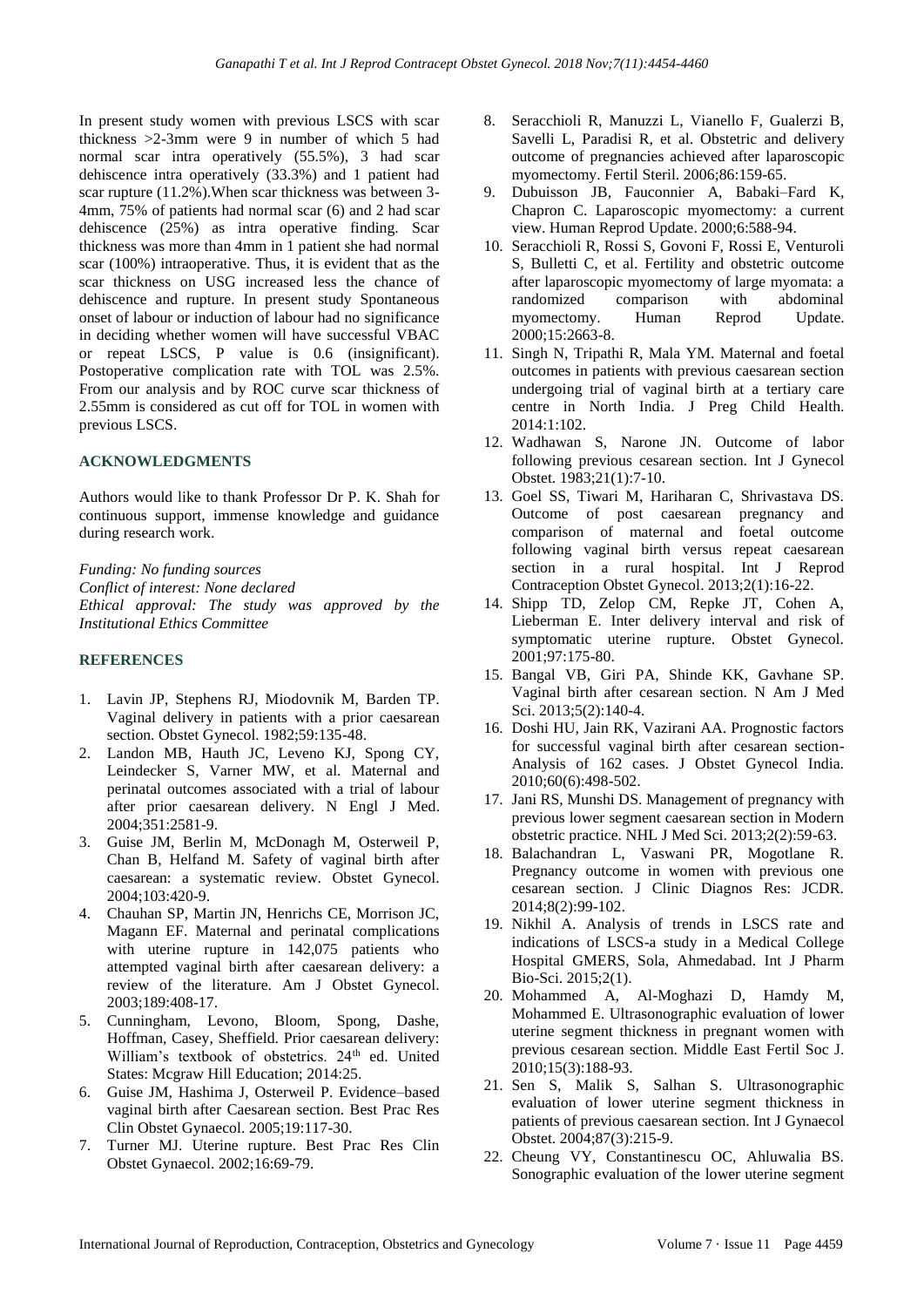In present study women with previous LSCS with scar thickness >2-3mm were 9 in number of which 5 had normal scar intra operatively (55.5%), 3 had scar dehiscence intra operatively (33.3%) and 1 patient had scar rupture (11.2%).When scar thickness was between 3- 4mm, 75% of patients had normal scar (6) and 2 had scar dehiscence (25%) as intra operative finding. Scar thickness was more than 4mm in 1 patient she had normal scar (100%) intraoperative. Thus, it is evident that as the scar thickness on USG increased less the chance of dehiscence and rupture. In present study Spontaneous onset of labour or induction of labour had no significance in deciding whether women will have successful VBAC or repeat LSCS, P value is 0.6 (insignificant). Postoperative complication rate with TOL was 2.5%. From our analysis and by ROC curve scar thickness of 2.55mm is considered as cut off for TOL in women with previous LSCS.

# **ACKNOWLEDGMENTS**

Authors would like to thank Professor Dr P. K. Shah for continuous support, immense knowledge and guidance during research work.

*Funding: No funding sources Conflict of interest: None declared Ethical approval: The study was approved by the Institutional Ethics Committee*

# **REFERENCES**

- 1. Lavin JP, Stephens RJ, Miodovnik M, Barden TP. Vaginal delivery in patients with a prior caesarean section. Obstet Gynecol. 1982;59:135-48.
- 2. Landon MB, Hauth JC, Leveno KJ, Spong CY, Leindecker S, Varner MW, et al. Maternal and perinatal outcomes associated with a trial of labour after prior caesarean delivery. N Engl J Med. 2004;351:2581-9.
- 3. Guise JM, Berlin M, McDonagh M, Osterweil P, Chan B, Helfand M. Safety of vaginal birth after caesarean: a systematic review. Obstet Gynecol. 2004;103:420-9.
- 4. Chauhan SP, Martin JN, Henrichs CE, Morrison JC, Magann EF. Maternal and perinatal complications with uterine rupture in 142,075 patients who attempted vaginal birth after caesarean delivery: a review of the literature. Am J Obstet Gynecol. 2003;189:408-17.
- 5. Cunningham, Levono, Bloom, Spong, Dashe, Hoffman, Casey, Sheffield. Prior caesarean delivery: William's textbook of obstetrics. 24<sup>th</sup> ed. United States: Mcgraw Hill Education; 2014:25.
- 6. Guise JM, Hashima J, Osterweil P. Evidence–based vaginal birth after Caesarean section. Best Prac Res Clin Obstet Gynaecol. 2005;19:117-30.
- 7. Turner MJ. Uterine rupture. Best Prac Res Clin Obstet Gynaecol. 2002;16:69-79.
- 8. Seracchioli R, Manuzzi L, Vianello F, Gualerzi B, Savelli L, Paradisi R, et al. Obstetric and delivery outcome of pregnancies achieved after laparoscopic myomectomy. Fertil Steril. 2006;86:159-65.
- 9. Dubuisson JB, Fauconnier A, Babaki–Fard K, Chapron C. Laparoscopic myomectomy: a current view. Human Reprod Update. 2000;6:588-94.
- 10. Seracchioli R, Rossi S, Govoni F, Rossi E, Venturoli S, Bulletti C, et al. Fertility and obstetric outcome after laparoscopic myomectomy of large myomata: a randomized comparison with abdominal myomectomy. Human Reprod Update. 2000;15:2663-8.
- 11. Singh N, Tripathi R, Mala YM. Maternal and foetal outcomes in patients with previous caesarean section undergoing trial of vaginal birth at a tertiary care centre in North India. J Preg Child Health. 2014:1:102.
- 12. Wadhawan S, Narone JN. Outcome of labor following previous cesarean section. Int J Gynecol Obstet. 1983;21(1):7-10.
- 13. Goel SS, Tiwari M, Hariharan C, Shrivastava DS. Outcome of post caesarean pregnancy and comparison of maternal and foetal outcome following vaginal birth versus repeat caesarean section in a rural hospital. Int J Reprod Contraception Obstet Gynecol. 2013;2(1):16-22.
- 14. Shipp TD, Zelop CM, Repke JT, Cohen A, Lieberman E. Inter delivery interval and risk of symptomatic uterine rupture. Obstet Gynecol. 2001;97:175-80.
- 15. Bangal VB, Giri PA, Shinde KK, Gavhane SP. Vaginal birth after cesarean section. N Am J Med Sci. 2013:5(2):140-4.
- 16. Doshi HU, Jain RK, Vazirani AA. Prognostic factors for successful vaginal birth after cesarean section-Analysis of 162 cases. J Obstet Gynecol India. 2010;60(6):498-502.
- 17. Jani RS, Munshi DS. Management of pregnancy with previous lower segment caesarean section in Modern obstetric practice. NHL J Med Sci. 2013;2(2):59-63.
- 18. Balachandran L, Vaswani PR, Mogotlane R. Pregnancy outcome in women with previous one cesarean section. J Clinic Diagnos Res: JCDR. 2014;8(2):99-102.
- 19. Nikhil A. Analysis of trends in LSCS rate and indications of LSCS-a study in a Medical College Hospital GMERS, Sola, Ahmedabad. Int J Pharm Bio-Sci. 2015;2(1).
- 20. Mohammed A, Al-Moghazi D, Hamdy M, Mohammed E. Ultrasonographic evaluation of lower uterine segment thickness in pregnant women with previous cesarean section. Middle East Fertil Soc J. 2010;15(3):188-93.
- 21. Sen S, Malik S, Salhan S. Ultrasonographic evaluation of lower uterine segment thickness in patients of previous caesarean section. Int J Gynaecol Obstet. 2004;87(3):215-9.
- 22. Cheung VY, Constantinescu OC, Ahluwalia BS. Sonographic evaluation of the lower uterine segment